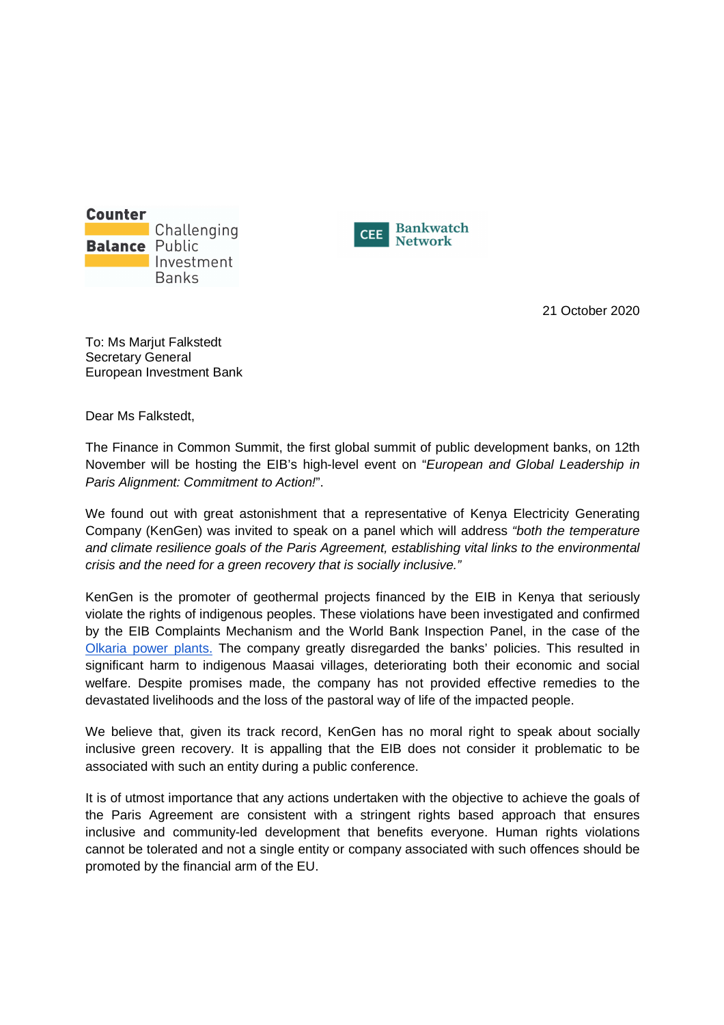



21 October 2020

To: Ms Marjut Falkstedt Secretary General European Investment Bank

Dear Ms Falkstedt,

The Finance in Common Summit, the first global summit of public development banks, on 12th November will be hosting the EIB's high-level event on "European and Global Leadership in Paris Alignment: Commitment to Action!".

We found out with great astonishment that a representative of Kenya Electricity Generating Company (KenGen) was invited to speak on a panel which will address "both the temperature and climate resilience goals of the Paris Agreement, establishing vital links to the environmental crisis and the need for a green recovery that is socially inclusive."

KenGen is the promoter of geothermal projects financed by the EIB in Kenya that seriously violate the rights of indigenous peoples. These violations have been investigated and confirmed by the EIB Complaints Mechanism and the World Bank Inspection Panel, in the case of the Olkaria power plants. The company greatly disregarded the banks' policies. This resulted in significant harm to indigenous Maasai villages, deteriorating both their economic and social welfare. Despite promises made, the company has not provided effective remedies to the devastated livelihoods and the loss of the pastoral way of life of the impacted people.

We believe that, given its track record, KenGen has no moral right to speak about socially inclusive green recovery. It is appalling that the EIB does not consider it problematic to be associated with such an entity during a public conference.

It is of utmost importance that any actions undertaken with the objective to achieve the goals of the Paris Agreement are consistent with a stringent rights based approach that ensures inclusive and community-led development that benefits everyone. Human rights violations cannot be tolerated and not a single entity or company associated with such offences should be promoted by the financial arm of the EU.